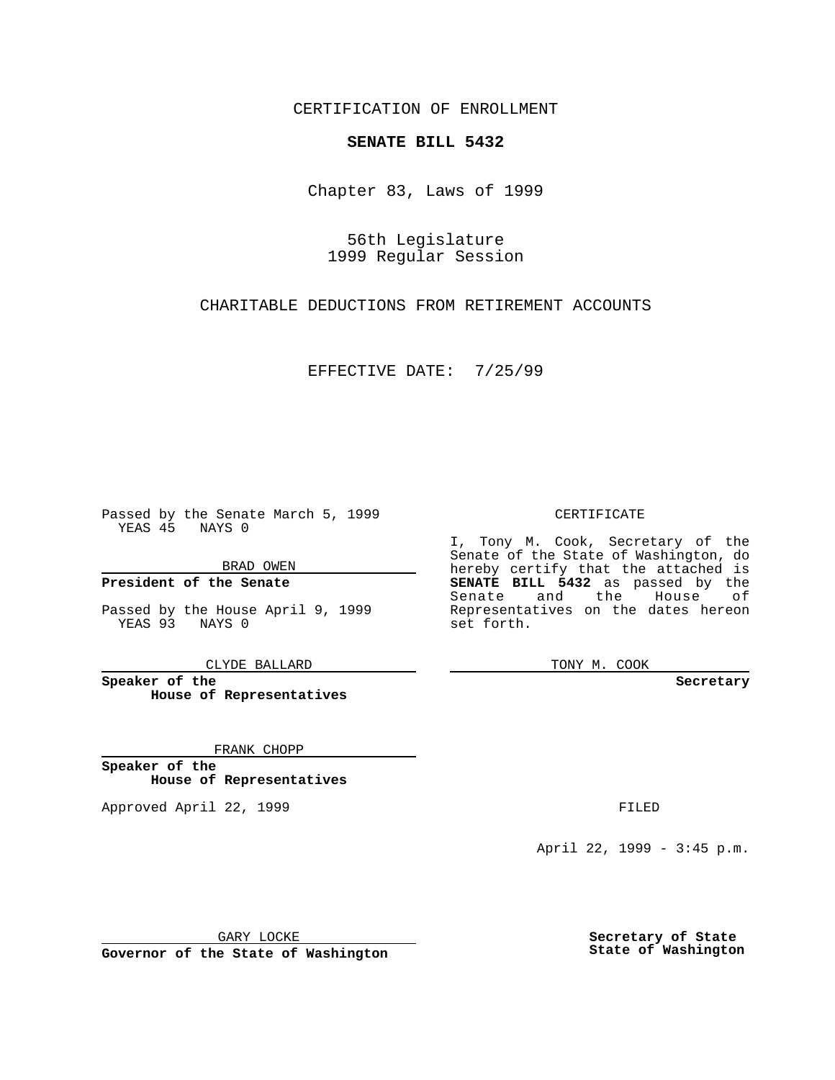CERTIFICATION OF ENROLLMENT

## **SENATE BILL 5432**

Chapter 83, Laws of 1999

56th Legislature 1999 Regular Session

CHARITABLE DEDUCTIONS FROM RETIREMENT ACCOUNTS

EFFECTIVE DATE: 7/25/99

Passed by the Senate March 5, 1999 YEAS 45 NAYS 0

BRAD OWEN

**President of the Senate**

Passed by the House April 9, 1999 YEAS 93 NAYS 0

CLYDE BALLARD

**Speaker of the House of Representatives**

FRANK CHOPP

**Speaker of the House of Representatives**

Approved April 22, 1999 **FILED** 

## CERTIFICATE

I, Tony M. Cook, Secretary of the Senate of the State of Washington, do hereby certify that the attached is **SENATE BILL 5432** as passed by the Senate and the House of Representatives on the dates hereon set forth.

TONY M. COOK

#### **Secretary**

April 22, 1999 - 3:45 p.m.

GARY LOCKE

**Governor of the State of Washington**

**Secretary of State State of Washington**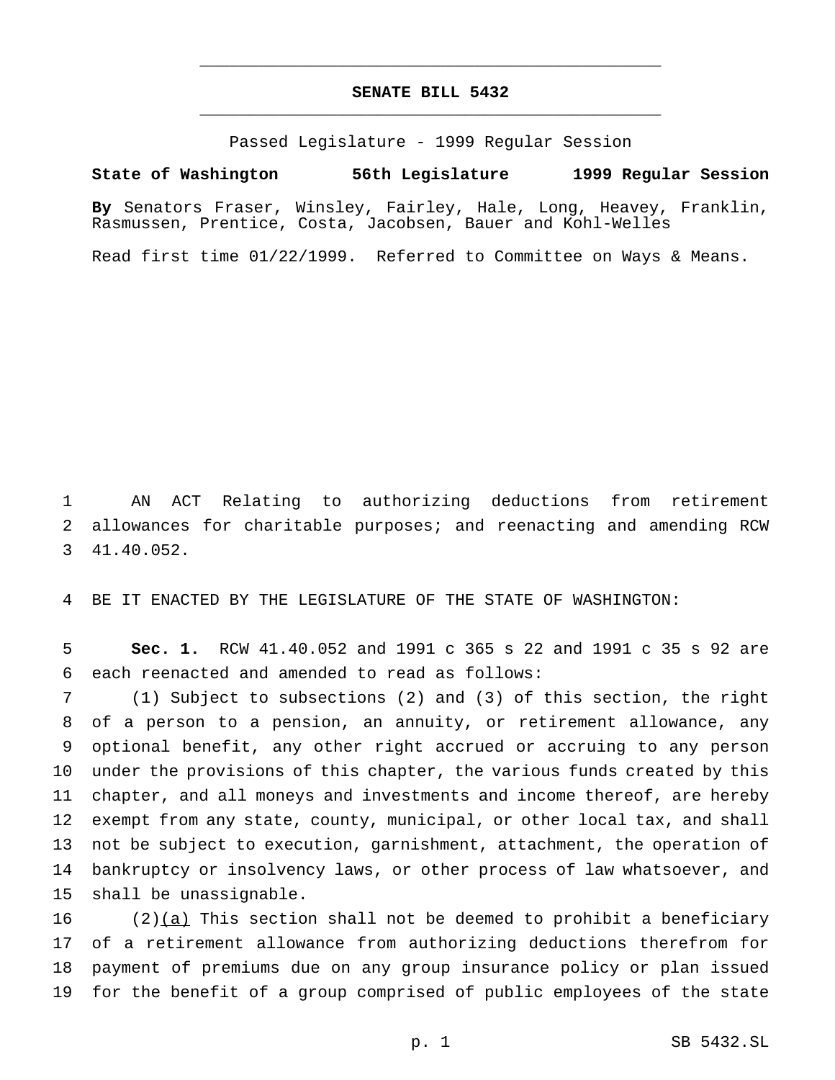# **SENATE BILL 5432** \_\_\_\_\_\_\_\_\_\_\_\_\_\_\_\_\_\_\_\_\_\_\_\_\_\_\_\_\_\_\_\_\_\_\_\_\_\_\_\_\_\_\_\_\_\_\_

\_\_\_\_\_\_\_\_\_\_\_\_\_\_\_\_\_\_\_\_\_\_\_\_\_\_\_\_\_\_\_\_\_\_\_\_\_\_\_\_\_\_\_\_\_\_\_

Passed Legislature - 1999 Regular Session

## **State of Washington 56th Legislature 1999 Regular Session**

**By** Senators Fraser, Winsley, Fairley, Hale, Long, Heavey, Franklin, Rasmussen, Prentice, Costa, Jacobsen, Bauer and Kohl-Welles

Read first time 01/22/1999. Referred to Committee on Ways & Means.

 AN ACT Relating to authorizing deductions from retirement allowances for charitable purposes; and reenacting and amending RCW 41.40.052.

BE IT ENACTED BY THE LEGISLATURE OF THE STATE OF WASHINGTON:

 **Sec. 1.** RCW 41.40.052 and 1991 c 365 s 22 and 1991 c 35 s 92 are each reenacted and amended to read as follows:

 (1) Subject to subsections (2) and (3) of this section, the right of a person to a pension, an annuity, or retirement allowance, any optional benefit, any other right accrued or accruing to any person under the provisions of this chapter, the various funds created by this chapter, and all moneys and investments and income thereof, are hereby exempt from any state, county, municipal, or other local tax, and shall not be subject to execution, garnishment, attachment, the operation of bankruptcy or insolvency laws, or other process of law whatsoever, and shall be unassignable.

16 (2) $(a)$  This section shall not be deemed to prohibit a beneficiary of a retirement allowance from authorizing deductions therefrom for payment of premiums due on any group insurance policy or plan issued for the benefit of a group comprised of public employees of the state